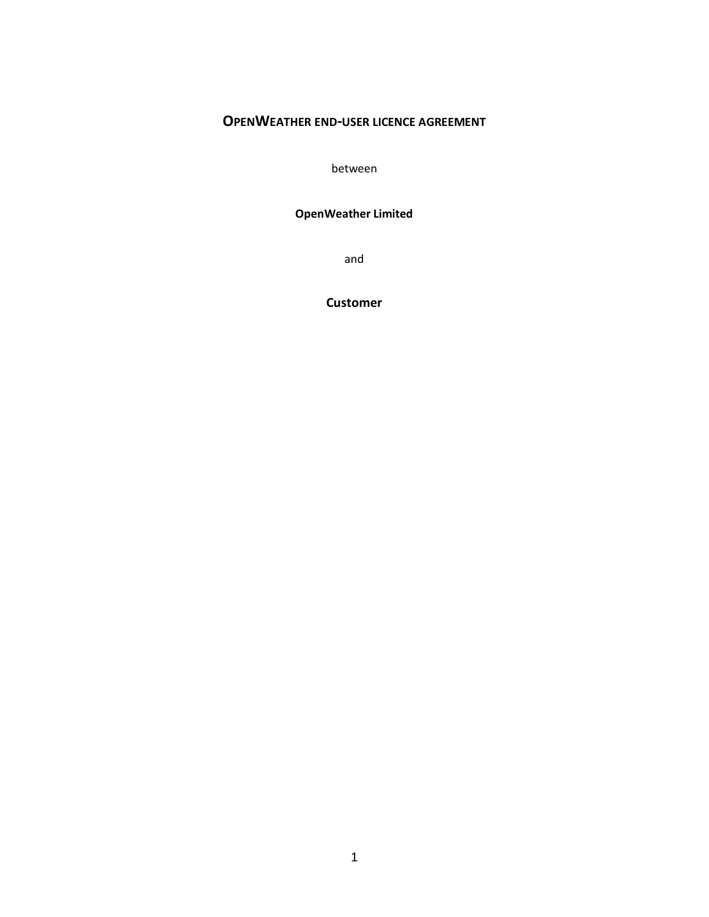# **OPENWEATHER END-USER LICENCE AGREEMENT**

between

# **OpenWeather Limited**

and

# **Customer**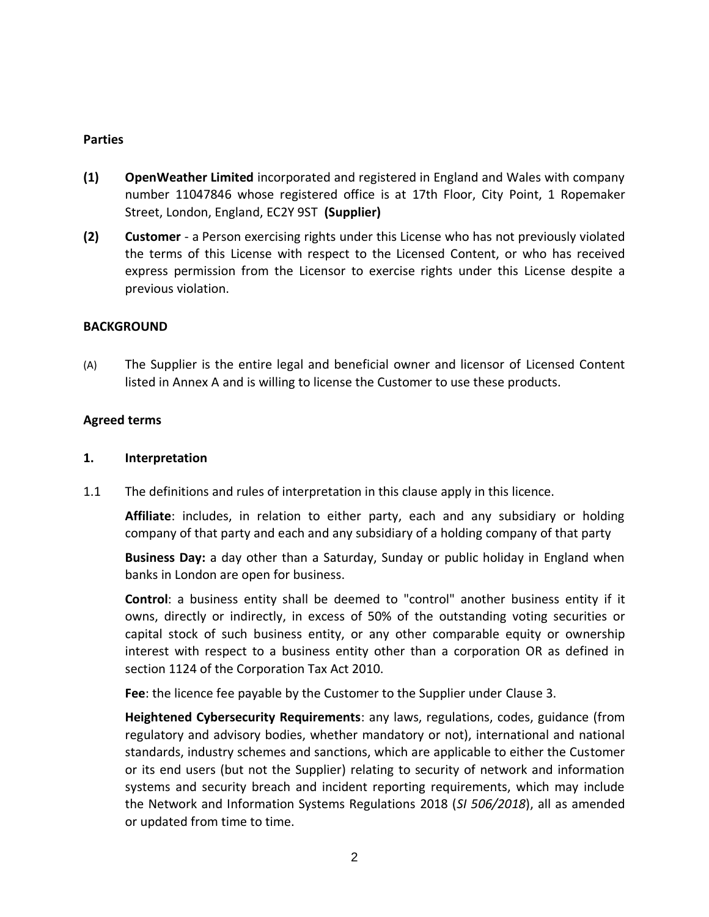#### **Parties**

- **(1) OpenWeather Limited** incorporated and registered in England and Wales with company number 11047846 whose registered office is at 17th Floor, City Point, 1 Ropemaker Street, London, England, EC2Y 9ST **(Supplier)**
- **(2) Customer** a Person exercising rights under this License who has not previously violated the terms of this License with respect to the Licensed Content, or who has received express permission from the Licensor to exercise rights under this License despite a previous violation.

#### **BACKGROUND**

(A) The Supplier is the entire legal and beneficial owner and licensor of Licensed Content listed in Annex A and is willing to license the Customer to use these products.

#### **Agreed terms**

#### **1. Interpretation**

1.1 The definitions and rules of interpretation in this clause apply in this licence.

**Affiliate**: includes, in relation to either party, each and any subsidiary or holding company of that party and each and any subsidiary of a holding company of that party

**Business Day:** a day other than a Saturday, Sunday or public holiday in England when banks in London are open for business.

**Control**: a business entity shall be deemed to "control" another business entity if it owns, directly or indirectly, in excess of 50% of the outstanding voting securities or capital stock of such business entity, or any other comparable equity or ownership interest with respect to a business entity other than a corporation OR as defined in section 1124 of the Corporation Tax Act 2010.

**Fee**: the licence fee payable by the Customer to the Supplier under Clause 3.

**Heightened Cybersecurity Requirements**: any laws, regulations, codes, guidance (from regulatory and advisory bodies, whether mandatory or not), international and national standards, industry schemes and sanctions, which are applicable to either the Customer or its end users (but not the Supplier) relating to security of network and information systems and security breach and incident reporting requirements, which may include the Network and Information Systems Regulations 2018 (*SI 506/2018*), all as amended or updated from time to time.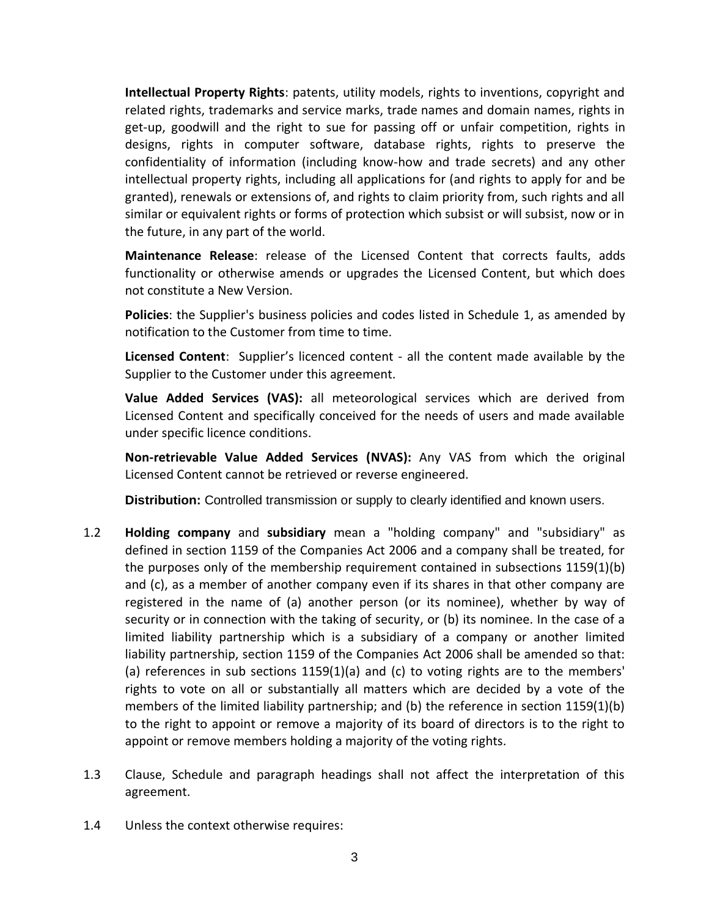**Intellectual Property Rights**: patents, utility models, rights to inventions, copyright and related rights, trademarks and service marks, trade names and domain names, rights in get-up, goodwill and the right to sue for passing off or unfair competition, rights in designs, rights in computer software, database rights, rights to preserve the confidentiality of information (including know-how and trade secrets) and any other intellectual property rights, including all applications for (and rights to apply for and be granted), renewals or extensions of, and rights to claim priority from, such rights and all similar or equivalent rights or forms of protection which subsist or will subsist, now or in the future, in any part of the world.

**Maintenance Release**: release of the Licensed Content that corrects faults, adds functionality or otherwise amends or upgrades the Licensed Content, but which does not constitute a New Version.

**Policies**: the Supplier's business policies and codes listed in Schedule 1, as amended by notification to the Customer from time to time.

**Licensed Content**: Supplier's licenced content - all the content made available by the Supplier to the Customer under this agreement.

**Value Added Services (VAS):** all meteorological services which are derived from Licensed Content and specifically conceived for the needs of users and made available under specific licence conditions.

**Non-retrievable Value Added Services (NVAS):** Any VAS from which the original Licensed Content cannot be retrieved or reverse engineered.

**Distribution:** Controlled transmission or supply to clearly identified and known users.

- 1.2 **Holding company** and **subsidiary** mean a "holding company" and "subsidiary" as defined in section 1159 of the Companies Act 2006 and a company shall be treated, for the purposes only of the membership requirement contained in subsections 1159(1)(b) and (c), as a member of another company even if its shares in that other company are registered in the name of (a) another person (or its nominee), whether by way of security or in connection with the taking of security, or (b) its nominee. In the case of a limited liability partnership which is a subsidiary of a company or another limited liability partnership, section 1159 of the Companies Act 2006 shall be amended so that: (a) references in sub sections  $1159(1)(a)$  and (c) to voting rights are to the members' rights to vote on all or substantially all matters which are decided by a vote of the members of the limited liability partnership; and (b) the reference in section 1159(1)(b) to the right to appoint or remove a majority of its board of directors is to the right to appoint or remove members holding a majority of the voting rights.
- 1.3 Clause, Schedule and paragraph headings shall not affect the interpretation of this agreement.
- 1.4 Unless the context otherwise requires: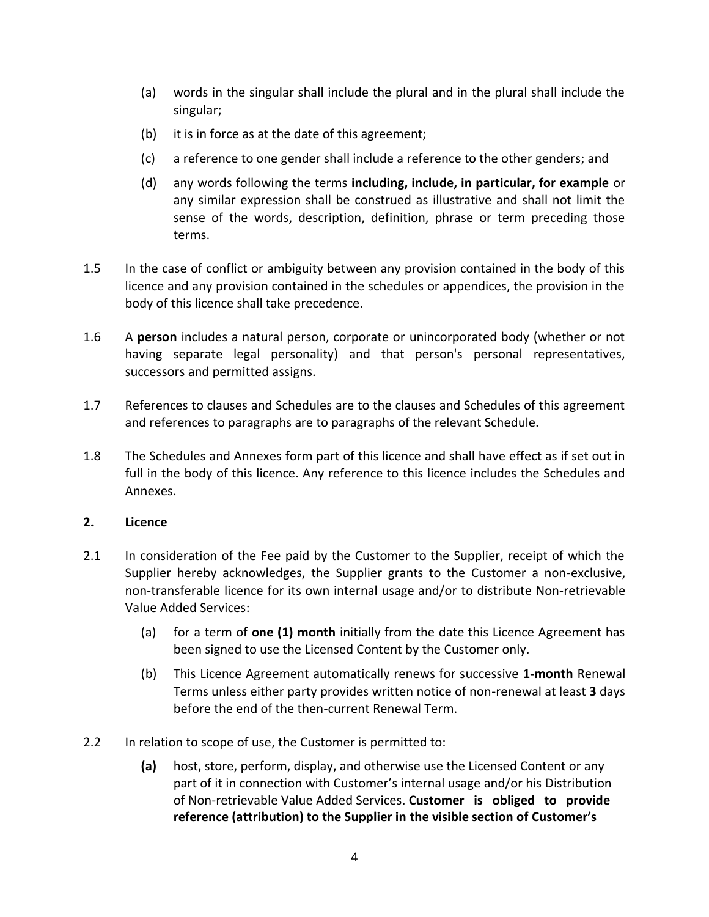- (a) words in the singular shall include the plural and in the plural shall include the singular;
- (b) it is in force as at the date of this agreement;
- (c) a reference to one gender shall include a reference to the other genders; and
- (d) any words following the terms **including, include, in particular, for example** or any similar expression shall be construed as illustrative and shall not limit the sense of the words, description, definition, phrase or term preceding those terms.
- 1.5 In the case of conflict or ambiguity between any provision contained in the body of this licence and any provision contained in the schedules or appendices, the provision in the body of this licence shall take precedence.
- 1.6 A **person** includes a natural person, corporate or unincorporated body (whether or not having separate legal personality) and that person's personal representatives, successors and permitted assigns.
- 1.7 References to clauses and Schedules are to the clauses and Schedules of this agreement and references to paragraphs are to paragraphs of the relevant Schedule.
- 1.8 The Schedules and Annexes form part of this licence and shall have effect as if set out in full in the body of this licence. Any reference to this licence includes the Schedules and Annexes.

#### <span id="page-3-0"></span>**2. Licence**

- 2.1 In consideration of the Fee paid by the Customer to the Supplier, receipt of which the Supplier hereby acknowledges, the Supplier grants to the Customer a non-exclusive, non-transferable licence for its own internal usage and/or to distribute Non-retrievable Value Added Services:
	- (a) for a term of **one (1) month** initially from the date this Licence Agreement has been signed to use the Licensed Content by the Customer only.
	- (b) This Licence Agreement automatically renews for successive **1-month** Renewal Terms unless either party provides written notice of non-renewal at least **3** days before the end of the then-current Renewal Term.
- 2.2 In relation to scope of use, the Customer is permitted to:
	- **(a)** host, store, perform, display, and otherwise use the Licensed Content or any part of it in connection with Customer's internal usage and/or his Distribution of Non-retrievable Value Added Services. **Customer is obliged to provide reference (attribution) to the Supplier in the visible section of Customer's**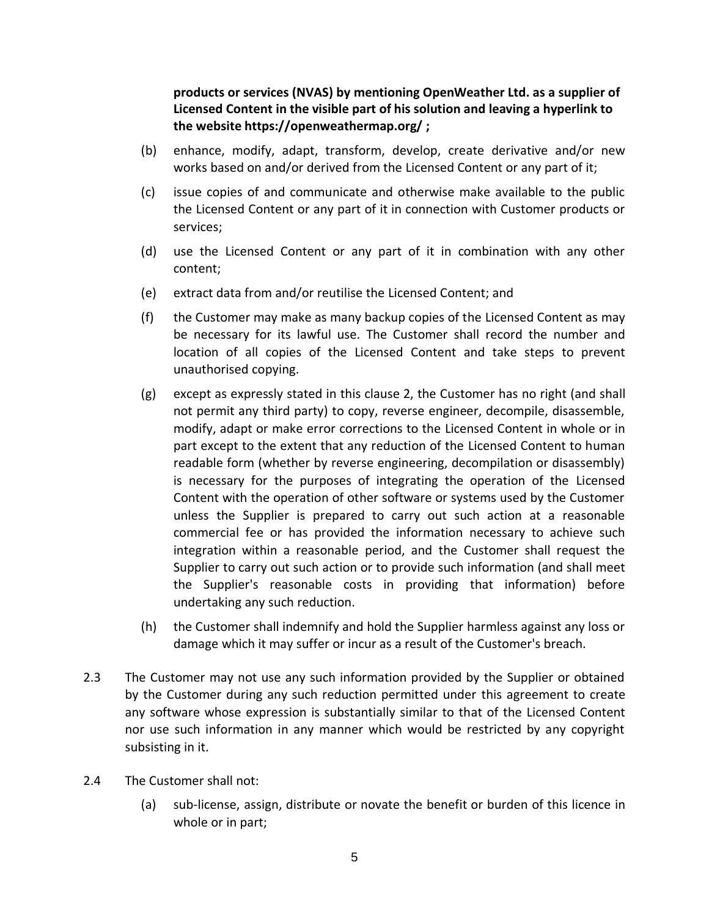**products or services (NVAS) by mentioning OpenWeather Ltd. as a supplier of Licensed Content in the visible part of his solution and leaving a hyperlink to the website https://openweathermap.org/ ;**

- (b) enhance, modify, adapt, transform, develop, create derivative and/or new works based on and/or derived from the Licensed Content or any part of it;
- (c) issue copies of and communicate and otherwise make available to the public the Licensed Content or any part of it in connection with Customer products or services;
- (d) use the Licensed Content or any part of it in combination with any other content;
- (e) extract data from and/or reutilise the Licensed Content; and
- (f) the Customer may make as many backup copies of the Licensed Content as may be necessary for its lawful use. The Customer shall record the number and location of all copies of the Licensed Content and take steps to prevent unauthorised copying.
- (g) except as expressly stated in this [clause 2,](#page-3-0) the Customer has no right (and shall not permit any third party) to copy, reverse engineer, decompile, disassemble, modify, adapt or make error corrections to the Licensed Content in whole or in part except to the extent that any reduction of the Licensed Content to human readable form (whether by reverse engineering, decompilation or disassembly) is necessary for the purposes of integrating the operation of the Licensed Content with the operation of other software or systems used by the Customer unless the Supplier is prepared to carry out such action at a reasonable commercial fee or has provided the information necessary to achieve such integration within a reasonable period, and the Customer shall request the Supplier to carry out such action or to provide such information (and shall meet the Supplier's reasonable costs in providing that information) before undertaking any such reduction.
- (h) the Customer shall indemnify and hold the Supplier harmless against any loss or damage which it may suffer or incur as a result of the Customer's breach.
- 2.3 The Customer may not use any such information provided by the Supplier or obtained by the Customer during any such reduction permitted under this agreement to create any software whose expression is substantially similar to that of the Licensed Content nor use such information in any manner which would be restricted by any copyright subsisting in it.
- 2.4 The Customer shall not:
	- (a) sub-license, assign, distribute or novate the benefit or burden of this licence in whole or in part;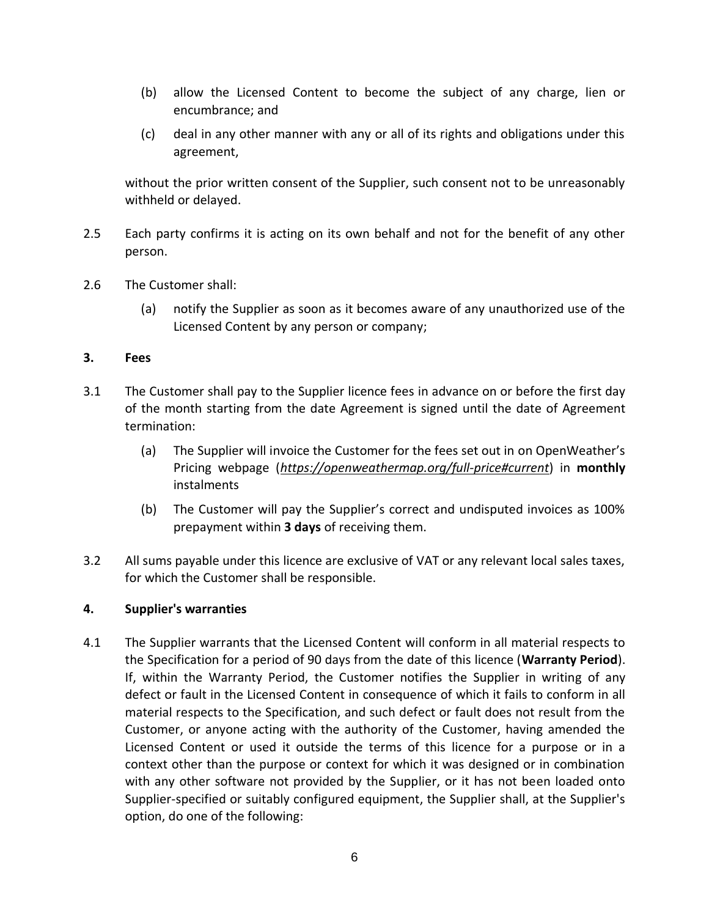- (b) allow the Licensed Content to become the subject of any charge, lien or encumbrance; and
- (c) deal in any other manner with any or all of its rights and obligations under this agreement,

without the prior written consent of the Supplier, such consent not to be unreasonably withheld or delayed.

- 2.5 Each party confirms it is acting on its own behalf and not for the benefit of any other person.
- 2.6 The Customer shall:
	- (a) notify the Supplier as soon as it becomes aware of any unauthorized use of the Licensed Content by any person or company;

#### **3. Fees**

- 3.1 The Customer shall pay to the Supplier licence fees in advance on or before the first day of the month starting from the date Agreement is signed until the date of Agreement termination:
	- (a) The Supplier will invoice the Customer for the fees set out in on OpenWeather's Pricing webpage (*<https://openweathermap.org/full-price#current>*) in **monthly** instalments
	- (b) The Customer will pay the Supplier's correct and undisputed invoices as 100% prepayment within **3 days** of receiving them.
- 3.2 All sums payable under this licence are exclusive of VAT or any relevant local sales taxes, for which the Customer shall be responsible.

#### **4. Supplier's warranties**

4.1 The Supplier warrants that the Licensed Content will conform in all material respects to the Specification for a period of 90 days from the date of this licence (**Warranty Period**). If, within the Warranty Period, the Customer notifies the Supplier in writing of any defect or fault in the Licensed Content in consequence of which it fails to conform in all material respects to the Specification, and such defect or fault does not result from the Customer, or anyone acting with the authority of the Customer, having amended the Licensed Content or used it outside the terms of this licence for a purpose or in a context other than the purpose or context for which it was designed or in combination with any other software not provided by the Supplier, or it has not been loaded onto Supplier-specified or suitably configured equipment, the Supplier shall, at the Supplier's option, do one of the following: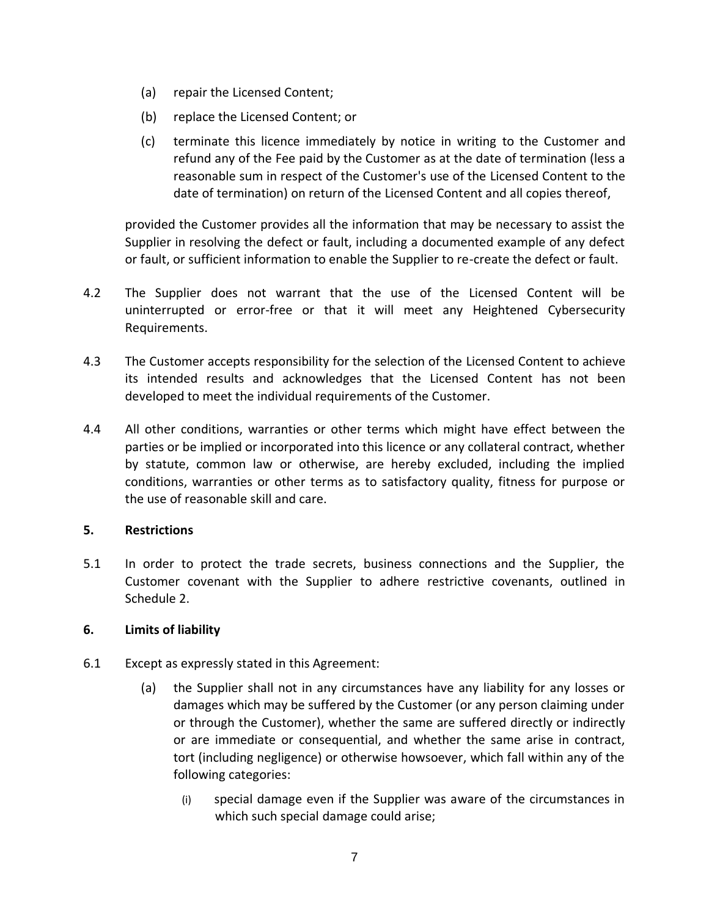- (a) repair the Licensed Content;
- (b) replace the Licensed Content; or
- (c) terminate this licence immediately by notice in writing to the Customer and refund any of the Fee paid by the Customer as at the date of termination (less a reasonable sum in respect of the Customer's use of the Licensed Content to the date of termination) on return of the Licensed Content and all copies thereof,

provided the Customer provides all the information that may be necessary to assist the Supplier in resolving the defect or fault, including a documented example of any defect or fault, or sufficient information to enable the Supplier to re-create the defect or fault.

- 4.2 The Supplier does not warrant that the use of the Licensed Content will be uninterrupted or error-free or that it will meet any Heightened Cybersecurity Requirements.
- 4.3 The Customer accepts responsibility for the selection of the Licensed Content to achieve its intended results and acknowledges that the Licensed Content has not been developed to meet the individual requirements of the Customer.
- 4.4 All other conditions, warranties or other terms which might have effect between the parties or be implied or incorporated into this licence or any collateral contract, whether by statute, common law or otherwise, are hereby excluded, including the implied conditions, warranties or other terms as to satisfactory quality, fitness for purpose or the use of reasonable skill and care.

#### **5. Restrictions**

5.1 In order to protect the trade secrets, business connections and the Supplier, the Customer covenant with the Supplier to adhere restrictive covenants, outlined in Schedule 2.

#### **6. Limits of liability**

- 6.1 Except as expressly stated in this Agreement:
	- (a) the Supplier shall not in any circumstances have any liability for any losses or damages which may be suffered by the Customer (or any person claiming under or through the Customer), whether the same are suffered directly or indirectly or are immediate or consequential, and whether the same arise in contract, tort (including negligence) or otherwise howsoever, which fall within any of the following categories:
		- (i) special damage even if the Supplier was aware of the circumstances in which such special damage could arise;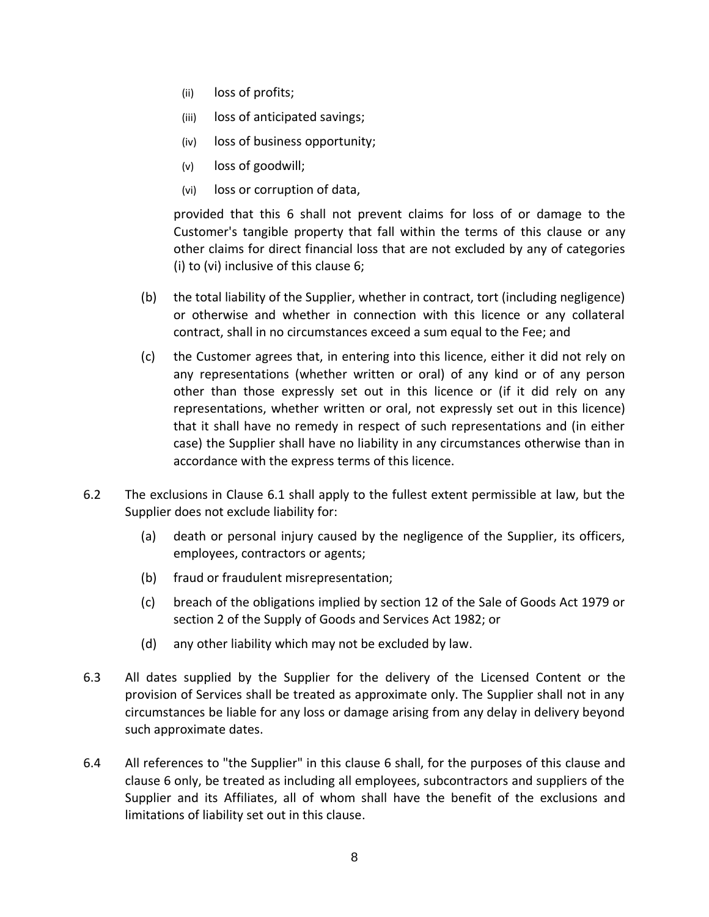- (ii) loss of profits;
- (iii) loss of anticipated savings;
- (iv) loss of business opportunity;
- (v) loss of goodwill;
- (vi) loss or corruption of data,

provided that this 6 shall not prevent claims for loss of or damage to the Customer's tangible property that fall within the terms of this clause or any other claims for direct financial loss that are not excluded by any of categories (i) to (vi) inclusive of this clause 6;

- (b) the total liability of the Supplier, whether in contract, tort (including negligence) or otherwise and whether in connection with this licence or any collateral contract, shall in no circumstances exceed a sum equal to the Fee; and
- (c) the Customer agrees that, in entering into this licence, either it did not rely on any representations (whether written or oral) of any kind or of any person other than those expressly set out in this licence or (if it did rely on any representations, whether written or oral, not expressly set out in this licence) that it shall have no remedy in respect of such representations and (in either case) the Supplier shall have no liability in any circumstances otherwise than in accordance with the express terms of this licence.
- 6.2 The exclusions in Clause 6.1 shall apply to the fullest extent permissible at law, but the Supplier does not exclude liability for:
	- (a) death or personal injury caused by the negligence of the Supplier, its officers, employees, contractors or agents;
	- (b) fraud or fraudulent misrepresentation;
	- (c) breach of the obligations implied by section 12 of the Sale of Goods Act 1979 or section 2 of the Supply of Goods and Services Act 1982; or
	- (d) any other liability which may not be excluded by law.
- 6.3 All dates supplied by the Supplier for the delivery of the Licensed Content or the provision of Services shall be treated as approximate only. The Supplier shall not in any circumstances be liable for any loss or damage arising from any delay in delivery beyond such approximate dates.
- 6.4 All references to "the Supplier" in this clause 6 shall, for the purposes of this clause and clause 6 only, be treated as including all employees, subcontractors and suppliers of the Supplier and its Affiliates, all of whom shall have the benefit of the exclusions and limitations of liability set out in this clause.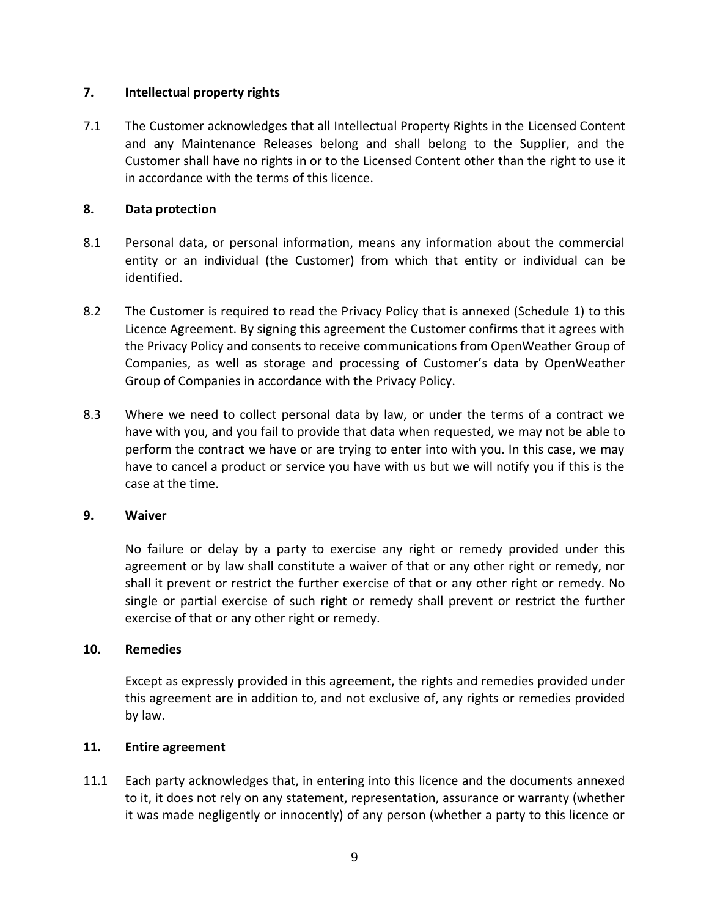#### **7. Intellectual property rights**

7.1 The Customer acknowledges that all Intellectual Property Rights in the Licensed Content and any Maintenance Releases belong and shall belong to the Supplier, and the Customer shall have no rights in or to the Licensed Content other than the right to use it in accordance with the terms of this licence.

#### **8. Data protection**

- 8.1 Personal data, or personal information, means any information about the commercial entity or an individual (the Customer) from which that entity or individual can be identified.
- 8.2 The Customer is required to read the Privacy Policy that is annexed (Schedule 1) to this Licence Agreement. By signing this agreement the Customer confirms that it agrees with the Privacy Policy and consents to receive communications from OpenWeather Group of Companies, as well as storage and processing of Customer's data by OpenWeather Group of Companies in accordance with the Privacy Policy.
- 8.3 Where we need to collect personal data by law, or under the terms of a contract we have with you, and you fail to provide that data when requested, we may not be able to perform the contract we have or are trying to enter into with you. In this case, we may have to cancel a product or service you have with us but we will notify you if this is the case at the time.

#### **9. Waiver**

No failure or delay by a party to exercise any right or remedy provided under this agreement or by law shall constitute a waiver of that or any other right or remedy, nor shall it prevent or restrict the further exercise of that or any other right or remedy. No single or partial exercise of such right or remedy shall prevent or restrict the further exercise of that or any other right or remedy.

#### **10. Remedies**

Except as expressly provided in this agreement, the rights and remedies provided under this agreement are in addition to, and not exclusive of, any rights or remedies provided by law.

#### **11. Entire agreement**

11.1 Each party acknowledges that, in entering into this licence and the documents annexed to it, it does not rely on any statement, representation, assurance or warranty (whether it was made negligently or innocently) of any person (whether a party to this licence or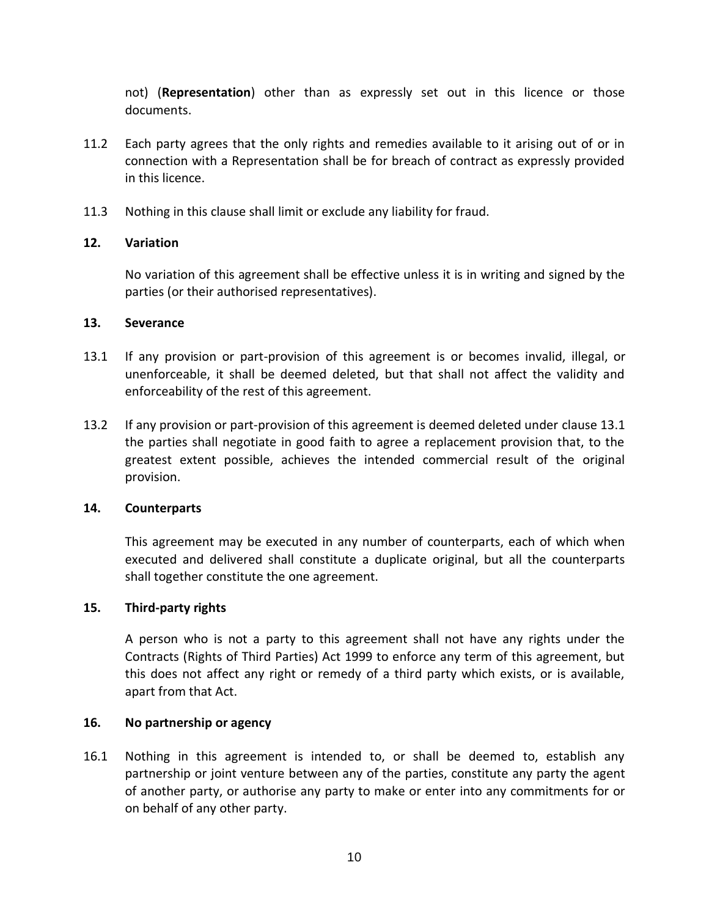not) (**Representation**) other than as expressly set out in this licence or those documents.

- 11.2 Each party agrees that the only rights and remedies available to it arising out of or in connection with a Representation shall be for breach of contract as expressly provided in this licence.
- 11.3 Nothing in this clause shall limit or exclude any liability for fraud.

#### **12. Variation**

No variation of this agreement shall be effective unless it is in writing and signed by the parties (or their authorised representatives).

#### **13. Severance**

- <span id="page-9-0"></span>13.1 If any provision or part-provision of this agreement is or becomes invalid, illegal, or unenforceable, it shall be deemed deleted, but that shall not affect the validity and enforceability of the rest of this agreement.
- 13.2 If any provision or part-provision of this agreement is deemed deleted under [clause 13.1](#page-9-0) the parties shall negotiate in good faith to agree a replacement provision that, to the greatest extent possible, achieves the intended commercial result of the original provision.

## **14. Counterparts**

This agreement may be executed in any number of counterparts, each of which when executed and delivered shall constitute a duplicate original, but all the counterparts shall together constitute the one agreement.

## **15. Third-party rights**

A person who is not a party to this agreement shall not have any rights under the Contracts (Rights of Third Parties) Act 1999 to enforce any term of this agreement, but this does not affect any right or remedy of a third party which exists, or is available, apart from that Act.

## **16. No partnership or agency**

16.1 Nothing in this agreement is intended to, or shall be deemed to, establish any partnership or joint venture between any of the parties, constitute any party the agent of another party, or authorise any party to make or enter into any commitments for or on behalf of any other party.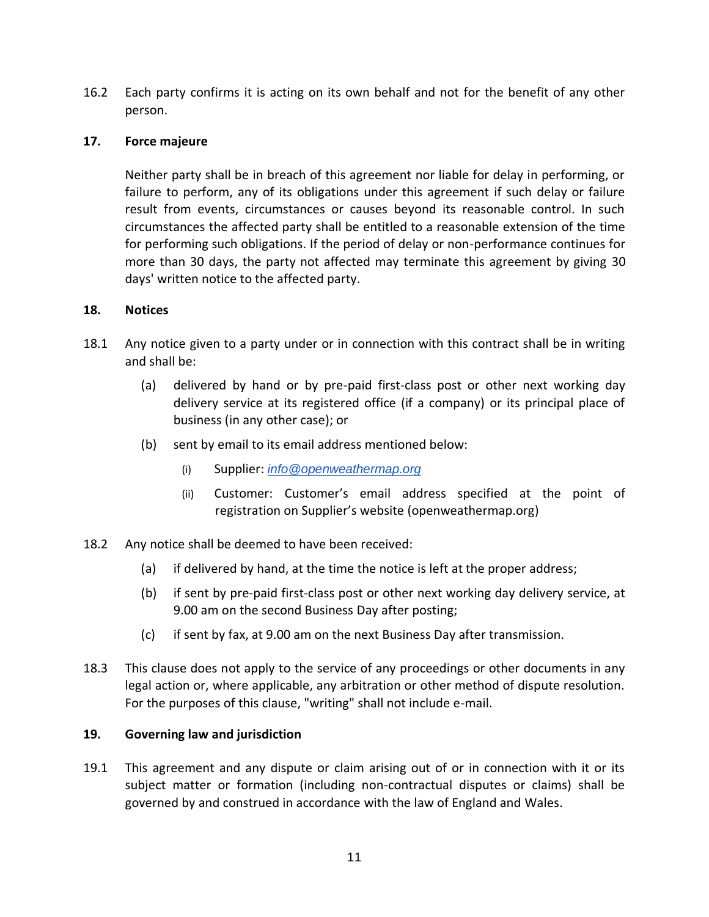16.2 Each party confirms it is acting on its own behalf and not for the benefit of any other person.

#### **17. Force majeure**

Neither party shall be in breach of this agreement nor liable for delay in performing, or failure to perform, any of its obligations under this agreement if such delay or failure result from events, circumstances or causes beyond its reasonable control. In such circumstances the affected party shall be entitled to a reasonable extension of the time for performing such obligations. If the period of delay or non-performance continues for more than 30 days, the party not affected may terminate this agreement by giving 30 days' written notice to the affected party.

#### **18. Notices**

- 18.1 Any notice given to a party under or in connection with this contract shall be in writing and shall be:
	- (a) delivered by hand or by pre-paid first-class post or other next working day delivery service at its registered office (if a company) or its principal place of business (in any other case); or
	- (b) sent by email to its email address mentioned below:
		- (i) Supplier: *[info@openweathermap.org](mailto:info@openweathermap.org)*
		- (ii) Customer: Customer's email address specified at the point of registration on Supplier's website (openweathermap.org)
- 18.2 Any notice shall be deemed to have been received:
	- (a) if delivered by hand, at the time the notice is left at the proper address;
	- (b) if sent by pre-paid first-class post or other next working day delivery service, at 9.00 am on the second Business Day after posting;
	- (c) if sent by fax, at 9.00 am on the next Business Day after transmission.
- 18.3 This clause does not apply to the service of any proceedings or other documents in any legal action or, where applicable, any arbitration or other method of dispute resolution. For the purposes of this clause, "writing" shall not include e-mail.

## **19. Governing law and jurisdiction**

19.1 This agreement and any dispute or claim arising out of or in connection with it or its subject matter or formation (including non-contractual disputes or claims) shall be governed by and construed in accordance with the law of England and Wales.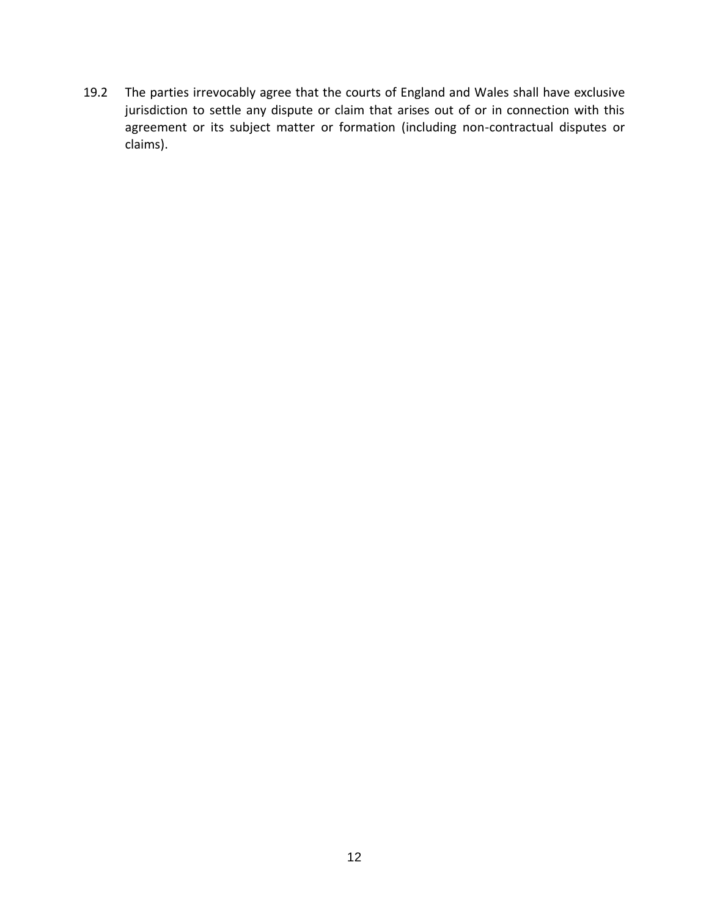19.2 The parties irrevocably agree that the courts of England and Wales shall have exclusive jurisdiction to settle any dispute or claim that arises out of or in connection with this agreement or its subject matter or formation (including non-contractual disputes or claims).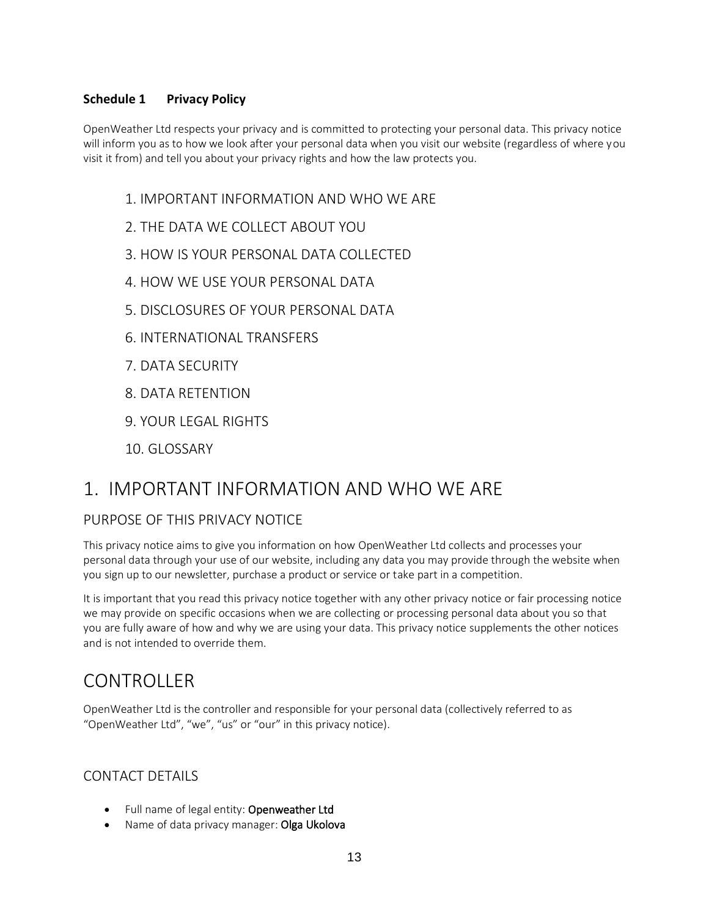## **Schedule 1 Privacy Policy**

OpenWeather Ltd respects your privacy and is committed to protecting your personal data. This privacy notice will inform you as to how we look after your personal data when you visit our website (regardless of where you visit it from) and tell you about your privacy rights and how the law protects you.

- 1. IMPORTANT INFORMATION AND WHO WE ARE
- 2. THE DATA WE COLLECT ABOUT YOU
- 3. HOW IS YOUR PERSONAL DATA COLLECTED
- 4. HOW WE USE YOUR PERSONAL DATA
- 5. DISCLOSURES OF YOUR PERSONAL DATA
- 6. INTERNATIONAL TRANSFERS
- 7. DATA SECURITY
- 8. DATA RETENTION
- 9. YOUR LEGAL RIGHTS
- 10. GLOSSARY

# 1. IMPORTANT INFORMATION AND WHO WE ARE

# PURPOSE OF THIS PRIVACY NOTICE

This privacy notice aims to give you information on how OpenWeather Ltd collects and processes your personal data through your use of our website, including any data you may provide through the website when you [sign up](about:blank) to our newsletter, purchase a product or service or take part in a competition.

It is important that you read this privacy notice together with any other privacy notice or fair processing notice we may provide on specific occasions when we are collecting or processing personal data about you so that you are fully aware of how and why we are using your data. This privacy notice supplements the other notices and is not intended to override them.

# CONTROLLER

OpenWeather Ltd is the controller and responsible for your personal data (collectively referred to as "OpenWeather Ltd", "we", "us" or "our" in this privacy notice).

## CONTACT DETAILS

- Full name of legal entity: Openweather Ltd
- Name of data privacy manager: Olga Ukolova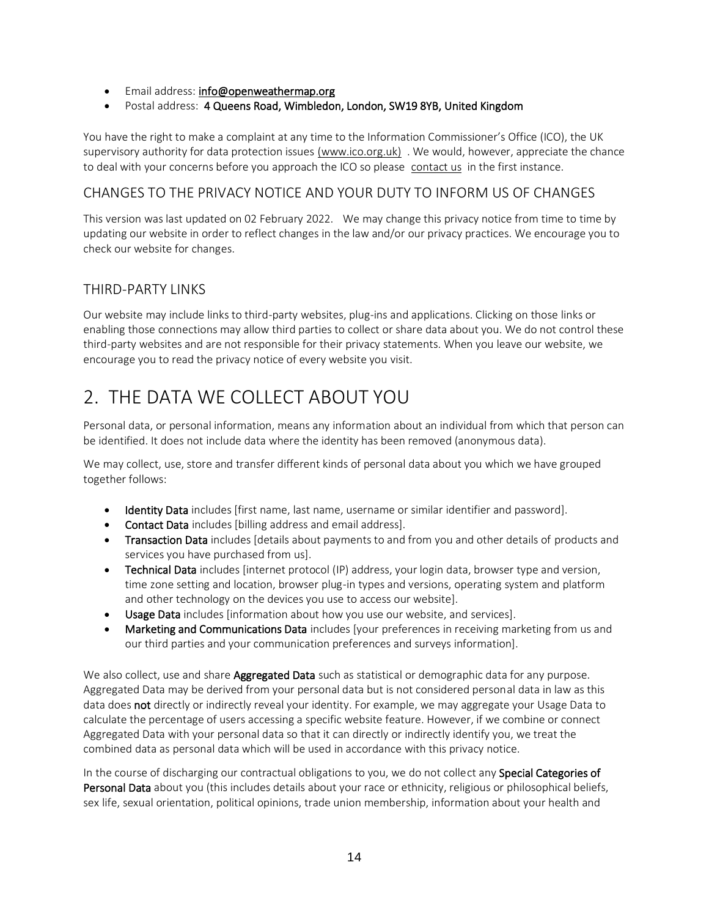- Email address: [info@openweathermap.org](about:blank)
- Postal address: 4 Queens Road, Wimbledon, London, SW19 8YB, United Kingdom

You have the right to make a complaint at any time to the Information Commissioner's Office (ICO), the UK supervisory authority for data protection issues [\(www.ico.org.uk\) .](about:blank) We would, however, appreciate the chance to deal with your concerns before you approach the ICO so please [contact us i](about:blank#contacts)n the first instance.

# CHANGES TO THE PRIVACY NOTICE AND YOUR DUTY TO INFORM US OF CHANGES

This version was last updated on 02 February 2022. We may change this privacy notice from time to time by updating our website in order to reflect changes in the law and/or our privacy practices. We encourage you to check our website for changes.

# THIRD-PARTY LINKS

Our website may include links to third-party websites, plug-ins and applications. Clicking on those links or enabling those connections may allow third parties to collect or share data about you. We do not control these third-party websites and are not responsible for their privacy statements. When you leave our website, we encourage you to read the privacy notice of every website you visit.

# 2. THE DATA WE COLLECT ABOUT YOU

Personal data, or personal information, means any information about an individual from which that person can be identified. It does not include data where the identity has been removed (anonymous data).

We may collect, use, store and transfer different kinds of personal data about you which we have grouped together follows:

- Identity Data includes [first name, last name, username or similar identifier and password].
- Contact Data includes [billing address and email address].
- Transaction Data includes [details about payments to and from you and other details of products and services you have purchased from us].
- Technical Data includes [internet protocol (IP) address, your login data, browser type and version, time zone setting and location, browser plug-in types and versions, operating system and platform and other technology on the devices you use to access our website].
- Usage Data includes [information about how you use our website, and services].
- Marketing and Communications Data includes [your preferences in receiving marketing from us and our third parties and your communication preferences and surveys information].

We also collect, use and share Aggregated Data such as statistical or demographic data for any purpose. Aggregated Data may be derived from your personal data but is not considered personal data in law as this data does not directly or indirectly reveal your identity. For example, we may aggregate your Usage Data to calculate the percentage of users accessing a specific website feature. However, if we combine or connect Aggregated Data with your personal data so that it can directly or indirectly identify you, we treat the combined data as personal data which will be used in accordance with this privacy notice.

In the course of discharging our contractual obligations to you, we do not collect any Special Categories of Personal Data about you (this includes details about your race or ethnicity, religious or philosophical beliefs, sex life, sexual orientation, political opinions, trade union membership, information about your health and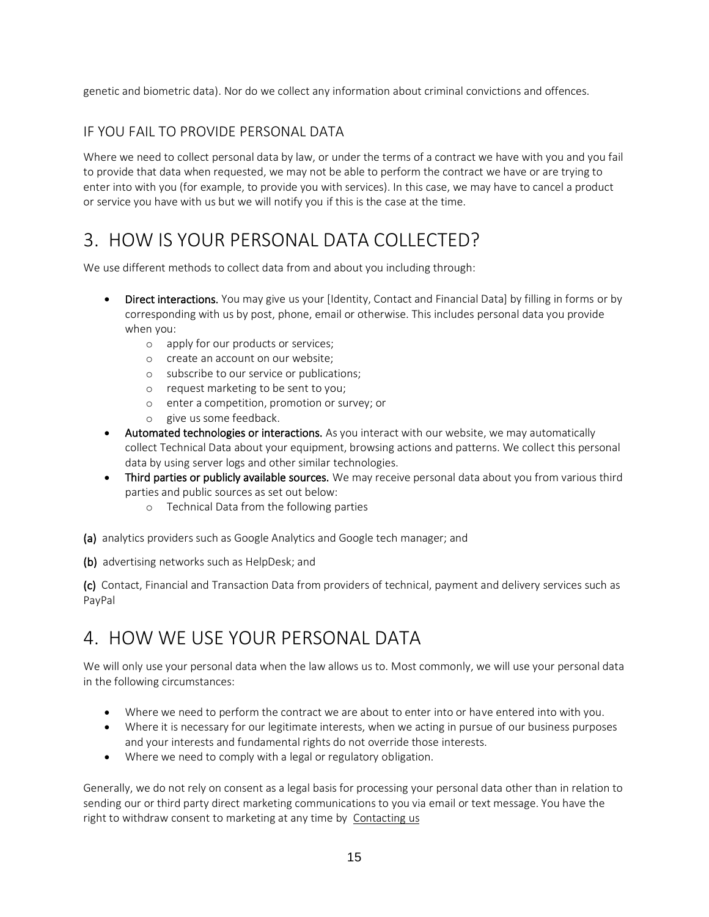genetic and biometric data). Nor do we collect any information about criminal convictions and offences.

# IF YOU FAIL TO PROVIDE PERSONAL DATA

Where we need to collect personal data by law, or under the terms of a contract we have with you and you fail to provide that data when requested, we may not be able to perform the contract we have or are trying to enter into with you (for example, to provide you with services). In this case, we may have to cancel a product or service you have with us but we will notify you if this is the case at the time.

# 3. HOW IS YOUR PERSONAL DATA COLLECTED?

We use different methods to collect data from and about you including through:

- Direct interactions. You may give us your [Identity, Contact and Financial Data] by filling in forms or by corresponding with us by post, phone, email or otherwise. This includes personal data you provide when you:
	- o apply for our products or services;
	- o create an account on our website;
	- o subscribe to our service or publications;
	- o request marketing to be sent to you;
	- o enter a competition, promotion or survey; or
	- o give us some feedback.
- Automated technologies or interactions. As you interact with our website, we may automatically collect Technical Data about your equipment, browsing actions and patterns. We collect this personal data by using server logs and other similar technologies.
- Third parties or publicly available sources. We may receive personal data about you from various third parties and public sources as set out below:
	- o Technical Data from the following parties
- (a) analytics providers such as Google Analytics and Google tech manager; and

(b) advertising networks such as HelpDesk; and

(c) Contact, Financial and Transaction Data from providers of technical, payment and delivery services such as PayPal

# 4. HOW WE USE YOUR PERSONAL DATA

We will only use your personal data when the law allows us to. Most commonly, we will use your personal data in the following circumstances:

- Where we need to perform the contract we are about to enter into or have entered into with you.
- Where it is necessary for our legitimate interests, when we acting in pursue of our business purposes and your interests and fundamental rights do not override those interests.
- Where we need to comply with a legal or regulatory obligation.

Generally, we do not rely on consent as a legal basis for processing your personal data other than in relation to sending our or third party direct marketing communications to you via email or text message. You have the right to withdraw consent to marketing at any time by [Contacting us](about:blank#contacts)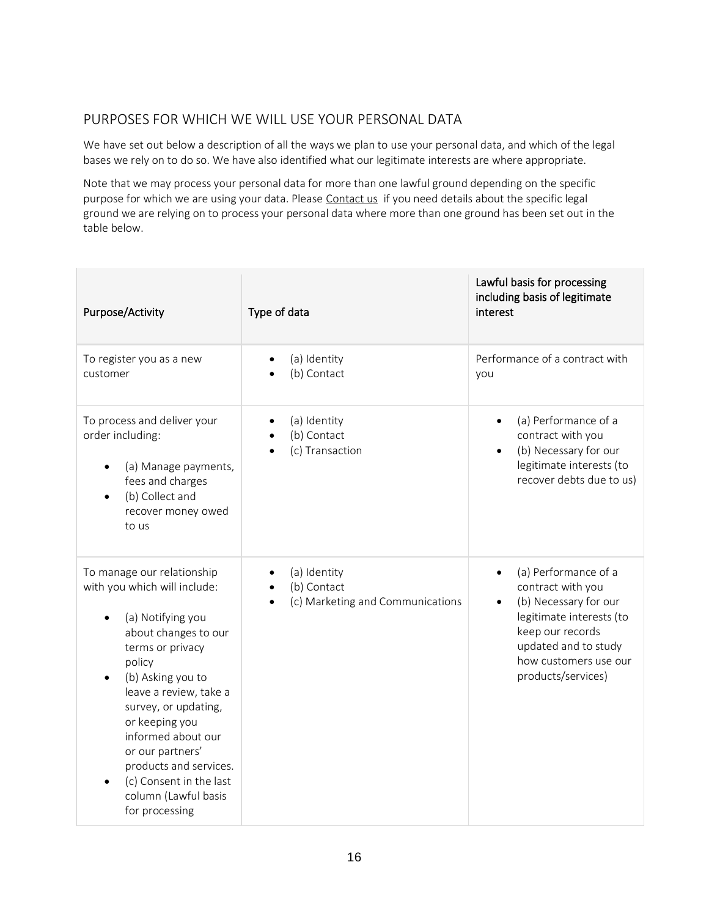# PURPOSES FOR WHICH WE WILL USE YOUR PERSONAL DATA

We have set out below a description of all the ways we plan to use your personal data, and which of the legal bases we rely on to do so. We have also identified what our legitimate interests are where appropriate.

Note that we may process your personal data for more than one lawful ground depending on the specific purpose for which we are using your data. Please [Contact us i](about:blank#contacts)f you need details about the specific legal ground we are relying on to process your personal data where more than one ground has been set out in the table below.

| Purpose/Activity                                                                                                                                                                                                                                                                                                                                                        | Type of data                                                    | Lawful basis for processing<br>including basis of legitimate<br>interest                                                                                                                  |
|-------------------------------------------------------------------------------------------------------------------------------------------------------------------------------------------------------------------------------------------------------------------------------------------------------------------------------------------------------------------------|-----------------------------------------------------------------|-------------------------------------------------------------------------------------------------------------------------------------------------------------------------------------------|
| To register you as a new<br>customer                                                                                                                                                                                                                                                                                                                                    | (a) Identity<br>(b) Contact                                     | Performance of a contract with<br>you                                                                                                                                                     |
| To process and deliver your<br>order including:<br>(a) Manage payments,<br>fees and charges<br>(b) Collect and<br>recover money owed<br>to us                                                                                                                                                                                                                           | (a) Identity<br>(b) Contact<br>(c) Transaction                  | (a) Performance of a<br>contract with you<br>(b) Necessary for our<br>legitimate interests (to<br>recover debts due to us)                                                                |
| To manage our relationship<br>with you which will include:<br>(a) Notifying you<br>about changes to our<br>terms or privacy<br>policy<br>(b) Asking you to<br>leave a review, take a<br>survey, or updating,<br>or keeping you<br>informed about our<br>or our partners'<br>products and services.<br>(c) Consent in the last<br>column (Lawful basis<br>for processing | (a) Identity<br>(b) Contact<br>(c) Marketing and Communications | (a) Performance of a<br>contract with you<br>(b) Necessary for our<br>legitimate interests (to<br>keep our records<br>updated and to study<br>how customers use our<br>products/services) |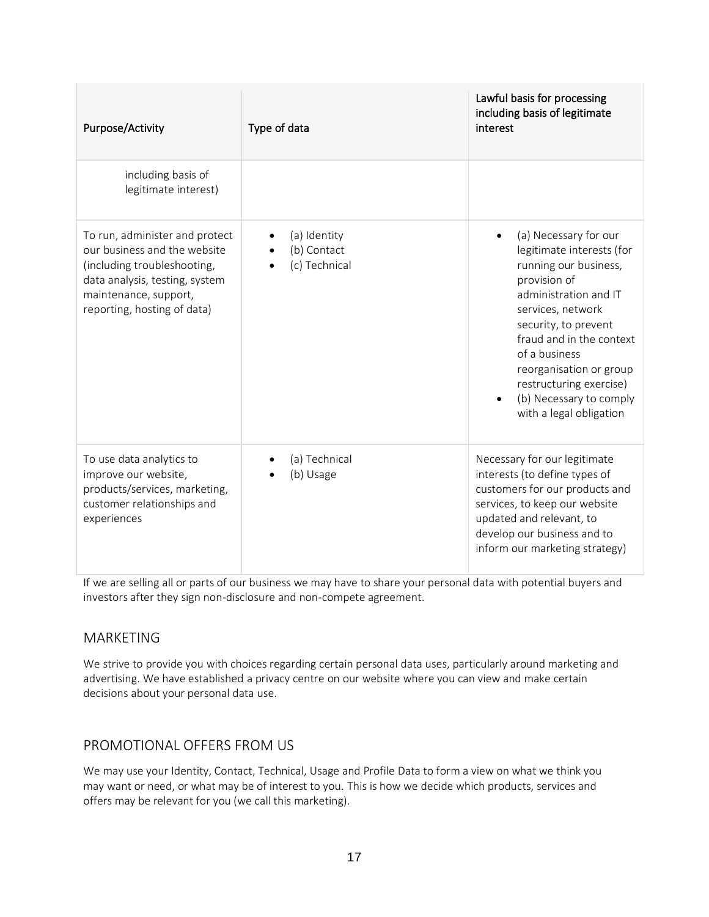| Purpose/Activity                                                                                                                                                                        | Type of data                                 | Lawful basis for processing<br>including basis of legitimate<br>interest                                                                                                                                                                                                                                                   |
|-----------------------------------------------------------------------------------------------------------------------------------------------------------------------------------------|----------------------------------------------|----------------------------------------------------------------------------------------------------------------------------------------------------------------------------------------------------------------------------------------------------------------------------------------------------------------------------|
| including basis of<br>legitimate interest)                                                                                                                                              |                                              |                                                                                                                                                                                                                                                                                                                            |
| To run, administer and protect<br>our business and the website<br>(including troubleshooting,<br>data analysis, testing, system<br>maintenance, support,<br>reporting, hosting of data) | (a) Identity<br>(b) Contact<br>(c) Technical | (a) Necessary for our<br>legitimate interests (for<br>running our business,<br>provision of<br>administration and IT<br>services, network<br>security, to prevent<br>fraud and in the context<br>of a business<br>reorganisation or group<br>restructuring exercise)<br>(b) Necessary to comply<br>with a legal obligation |
| To use data analytics to<br>improve our website,<br>products/services, marketing,<br>customer relationships and<br>experiences                                                          | (a) Technical<br>(b) Usage                   | Necessary for our legitimate<br>interests (to define types of<br>customers for our products and<br>services, to keep our website<br>updated and relevant, to<br>develop our business and to<br>inform our marketing strategy)                                                                                              |

If we are selling all or parts of our business we may have to share your personal data with potential buyers and investors after they sign non-disclosure and non-compete agreement.

## MARKETING

We strive to provide you with choices regarding certain personal data uses, particularly around marketing and advertising. We have established [a privacy centre](about:blank) on our website where you can view and make certain decisions about your personal data use.

# PROMOTIONAL OFFERS FROM US

We may use your Identity, Contact, Technical, Usage and Profile Data to form a view on what we think you may want or need, or what may be of interest to you. This is how we decide which products, services and offers may be relevant for you (we call this marketing).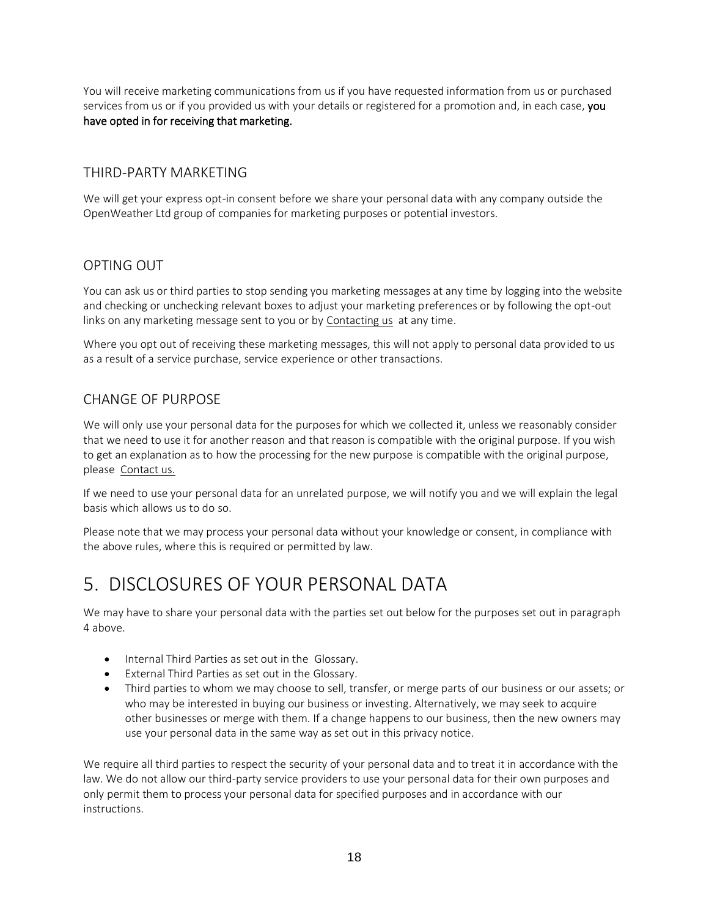You will receive marketing communications from us if you have requested information from us or purchased services from us or if you provided us with your details or registered for a promotion and, in each case, you have opted in for receiving that marketing.

# THIRD-PARTY MARKETING

We will get your express opt-in consent before we share your personal data with any company outside the OpenWeather Ltd group of companies for marketing purposes or potential investors.

# OPTING OUT

You can ask us or third parties to stop sending you marketing messages at any time by logging into the website and checking or unchecking relevant boxes to adjust your marketing preferences or by following the opt-out links on any marketing message sent to you or by [Contacting us a](about:blank#contacts)t any time.

Where you opt out of receiving these marketing messages, this will not apply to personal data provided to us as a result of a service purchase, service experience or other transactions.

# CHANGE OF PURPOSE

We will only use your personal data for the purposes for which we collected it, unless we reasonably consider that we need to use it for another reason and that reason is compatible with the original purpose. If you wish to get an explanation as to how the processing for the new purpose is compatible with the original purpose, please [Contact us.](about:blank#contacts)

If we need to use your personal data for an unrelated purpose, we will notify you and we will explain the legal basis which allows us to do so.

Please note that we may process your personal data without your knowledge or consent, in compliance with the above rules, where this is required or permitted by law.

# 5. DISCLOSURES OF YOUR PERSONAL DATA

We may have to share your personal data with the parties set out below for the purposes set out in paragraph 4 above.

- Internal Third Parties as set out in the [Glossary.](about:blank#glossary)
- External Third Parties as set out in the [Glossary.](about:blank#glossary)
- Third parties to whom we may choose to sell, transfer, or merge parts of our business or our assets; or who may be interested in buying our business or investing. Alternatively, we may seek to acquire other businesses or merge with them. If a change happens to our business, then the new owners may use your personal data in the same way as set out in this privacy notice.

We require all third parties to respect the security of your personal data and to treat it in accordance with the law. We do not allow our third-party service providers to use your personal data for their own purposes and only permit them to process your personal data for specified purposes and in accordance with our instructions.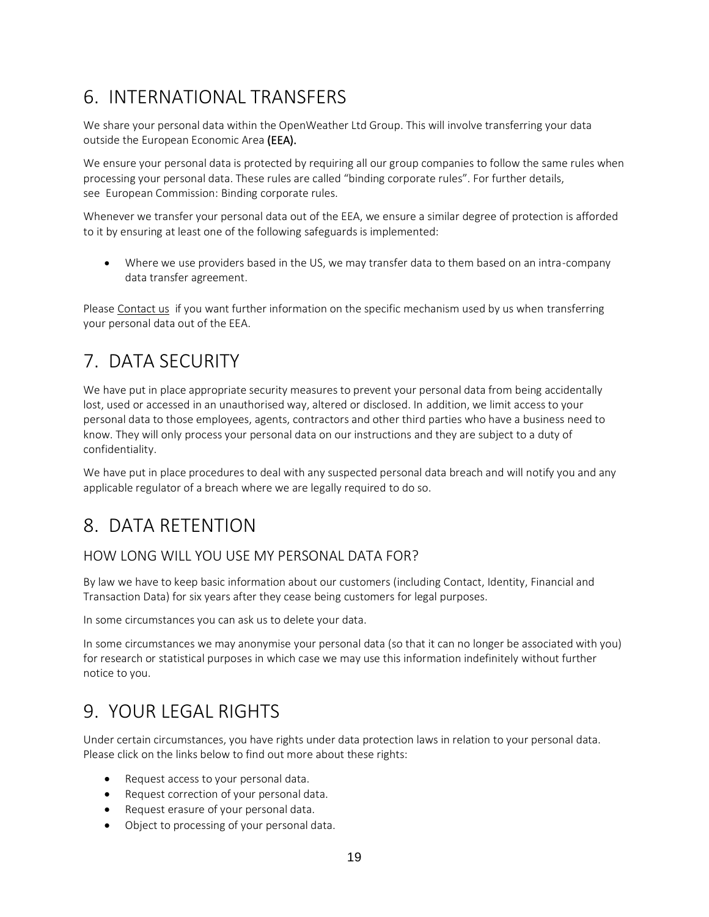# 6. INTERNATIONAL TRANSFERS

We share your personal data within the OpenWeather Ltd Group. This will involve transferring your data outside the European Economic Area (EEA).

We ensure your personal data is protected by requiring all our group companies to follow the same rules when processing your personal data. These rules are called "binding corporate rules". For further details, see [European Commission: Binding corporate rules.](about:blank)

Whenever we transfer your personal data out of the EEA, we ensure a similar degree of protection is afforded to it by ensuring at least one of the following safeguards is implemented:

• Where we use providers based in the US, we may transfer data to them based on an intra-company data transfer agreement.

Please [Contact us i](about:blank#contacts)f you want further information on the specific mechanism used by us when transferring your personal data out of the EEA.

# 7. DATA SECURITY

We have put in place appropriate security measures to prevent your personal data from being accidentally lost, used or accessed in an unauthorised way, altered or disclosed. In addition, we limit access to your personal data to those employees, agents, contractors and other third parties who have a business need to know. They will only process your personal data on our instructions and they are subject to a duty of confidentiality.

We have put in place procedures to deal with any suspected personal data breach and will notify you and any applicable regulator of a breach where we are legally required to do so.

# 8. DATA RETENTION

# HOW LONG WILL YOU USE MY PERSONAL DATA FOR?

By law we have to keep basic information about our customers (including Contact, Identity, Financial and Transaction Data) for six years after they cease being customers for legal purposes.

In some circumstances you can ask us to delete your data.

In some circumstances we may anonymise your personal data (so that it can no longer be associated with you) for research or statistical purposes in which case we may use this information indefinitely without further notice to you.

# 9. YOUR LEGAL RIGHTS

Under certain circumstances, you have rights under data protection laws in relation to your personal data. Please click on the links below to find out more about these rights:

- [Request access to your personal data.](about:blank#glossary-request-access)
- [Request correction of your personal data.](about:blank#glossary-request-access)
- [Request erasure of your personal data.](about:blank#glossary-request-access)
- [Object to processing of your personal data.](about:blank#glossary-request-access)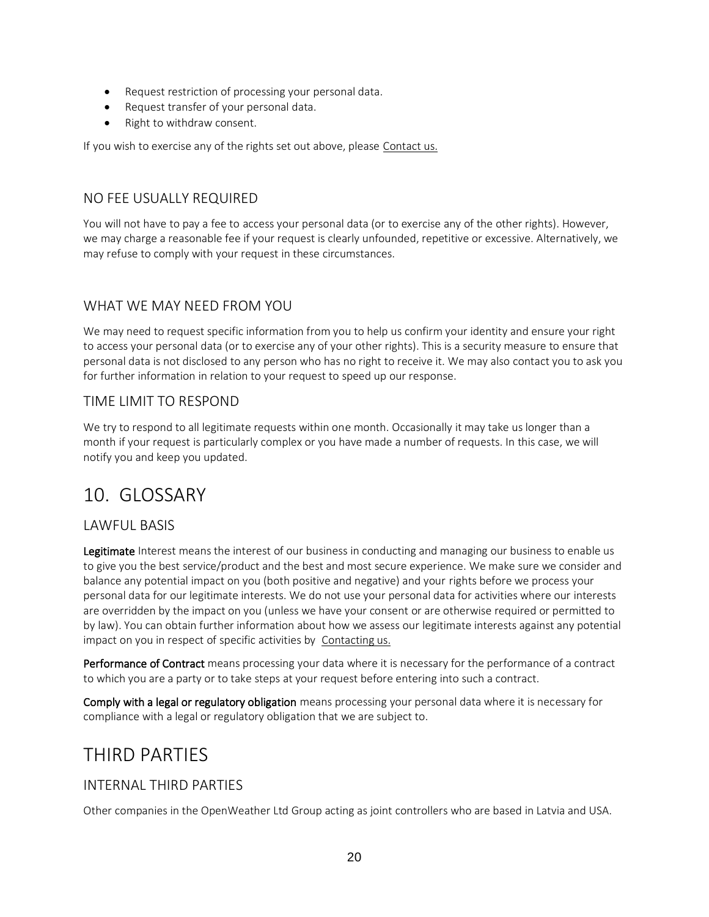- [Request restriction of processing your personal data.](about:blank#glossary-request-access)
- [Request transfer of your personal data.](about:blank#glossary-request-access)
- [Right to withdraw consent.](about:blank#glossary-request-access)

If you wish to exercise any of the rights set out above, please [Contact us.](about:blank#contacts)

# NO FEE USUALLY REQUIRED

You will not have to pay a fee to access your personal data (or to exercise any of the other rights). However, we may charge a reasonable fee if your request is clearly unfounded, repetitive or excessive. Alternatively, we may refuse to comply with your request in these circumstances.

## WHAT WE MAY NEED FROM YOU

We may need to request specific information from you to help us confirm your identity and ensure your right to access your personal data (or to exercise any of your other rights). This is a security measure to ensure that personal data is not disclosed to any person who has no right to receive it. We may also contact you to ask you for further information in relation to your request to speed up our response.

# TIME LIMIT TO RESPOND

We try to respond to all legitimate requests within one month. Occasionally it may take us longer than a month if your request is particularly complex or you have made a number of requests. In this case, we will notify you and keep you updated.

# 10. GLOSSARY

## LAWFUL BASIS

Legitimate Interest means the interest of our business in conducting and managing our business to enable us to give you the best service/product and the best and most secure experience. We make sure we consider and balance any potential impact on you (both positive and negative) and your rights before we process your personal data for our legitimate interests. We do not use your personal data for activities where our interests are overridden by the impact on you (unless we have your consent or are otherwise required or permitted to by law). You can obtain further information about how we assess our legitimate interests against any potential impact on you in respect of specific activities by [Contacting us.](about:blank#contacts)

Performance of Contract means processing your data where it is necessary for the performance of a contract to which you are a party or to take steps at your request before entering into such a contract.

Comply with a legal or regulatory obligation means processing your personal data where it is necessary for compliance with a legal or regulatory obligation that we are subject to.

# THIRD PARTIES

## INTERNAL THIRD PARTIES

Other companies in the OpenWeather Ltd Group acting as joint controllers who are based in Latvia and USA.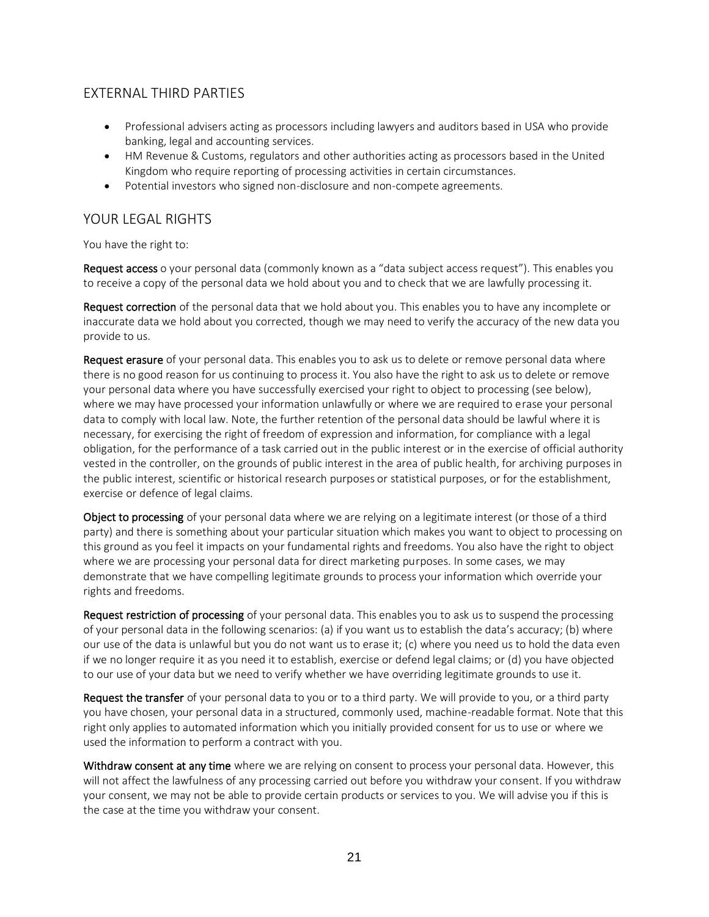# EXTERNAL THIRD PARTIES

- Professional advisers acting as processors including lawyers and auditors based in USA who provide banking, legal and accounting services.
- HM Revenue & Customs, regulators and other authorities acting as processors based in the United Kingdom who require reporting of processing activities in certain circumstances.
- Potential investors who signed non-disclosure and non-compete agreements.

# YOUR LEGAL RIGHTS

You have the right to:

Request access o your personal data (commonly known as a "data subject access request"). This enables you to receive a copy of the personal data we hold about you and to check that we are lawfully processing it.

Request correction of the personal data that we hold about you. This enables you to have any incomplete or inaccurate data we hold about you corrected, though we may need to verify the accuracy of the new data you provide to us.

Request erasure of your personal data. This enables you to ask us to delete or remove personal data where there is no good reason for us continuing to process it. You also have the right to ask us to delete or remove your personal data where you have successfully exercised your right to object to processing (see below), where we may have processed your information unlawfully or where we are required to erase your personal data to comply with local law. Note, the further retention of the personal data should be lawful where it is necessary, for exercising the right of freedom of expression and information, for compliance with a legal obligation, for the performance of a task carried out in the public interest or in the exercise of official authority vested in the controller, on the grounds of public interest in the area of public health, for archiving purposes in the public interest, scientific or historical research purposes or statistical purposes, or for the establishment, exercise or defence of legal claims.

Object to processing of your personal data where we are relying on a legitimate interest (or those of a third party) and there is something about your particular situation which makes you want to object to processing on this ground as you feel it impacts on your fundamental rights and freedoms. You also have the right to object where we are processing your personal data for direct marketing purposes. In some cases, we may demonstrate that we have compelling legitimate grounds to process your information which override your rights and freedoms.

Request restriction of processing of your personal data. This enables you to ask us to suspend the processing of your personal data in the following scenarios: (a) if you want us to establish the data's accuracy; (b) where our use of the data is unlawful but you do not want us to erase it; (c) where you need us to hold the data even if we no longer require it as you need it to establish, exercise or defend legal claims; or (d) you have objected to our use of your data but we need to verify whether we have overriding legitimate grounds to use it.

Request the transfer of your personal data to you or to a third party. We will provide to you, or a third party you have chosen, your personal data in a structured, commonly used, machine-readable format. Note that this right only applies to automated information which you initially provided consent for us to use or where we used the information to perform a contract with you.

Withdraw consent at any time where we are relying on consent to process your personal data. However, this will not affect the lawfulness of any processing carried out before you withdraw your consent. If you withdraw your consent, we may not be able to provide certain products or services to you. We will advise you if this is the case at the time you withdraw your consent.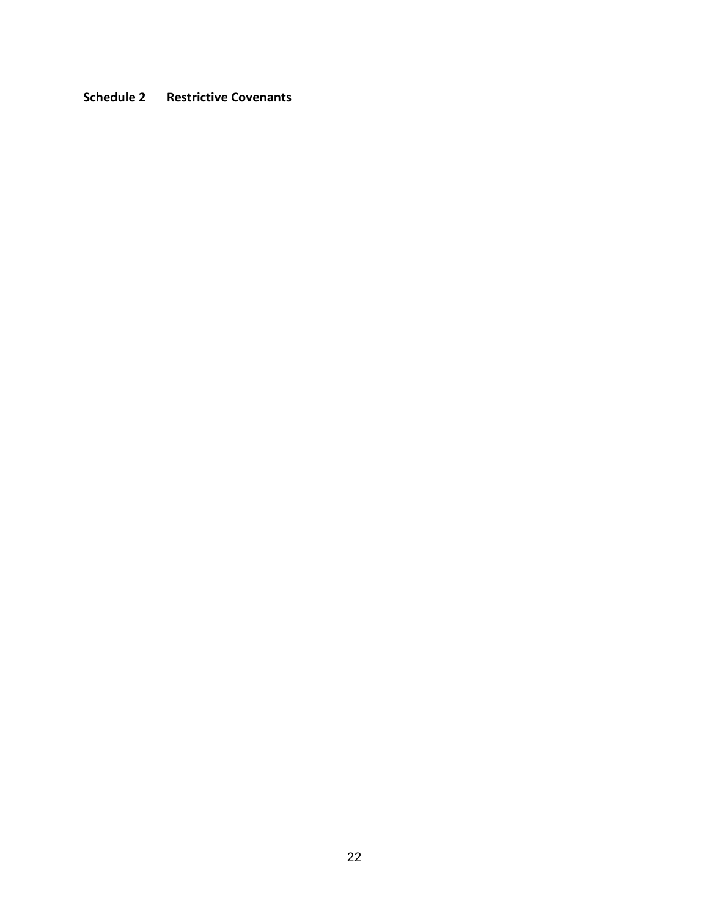# **Schedule 2 Restrictive Covenants**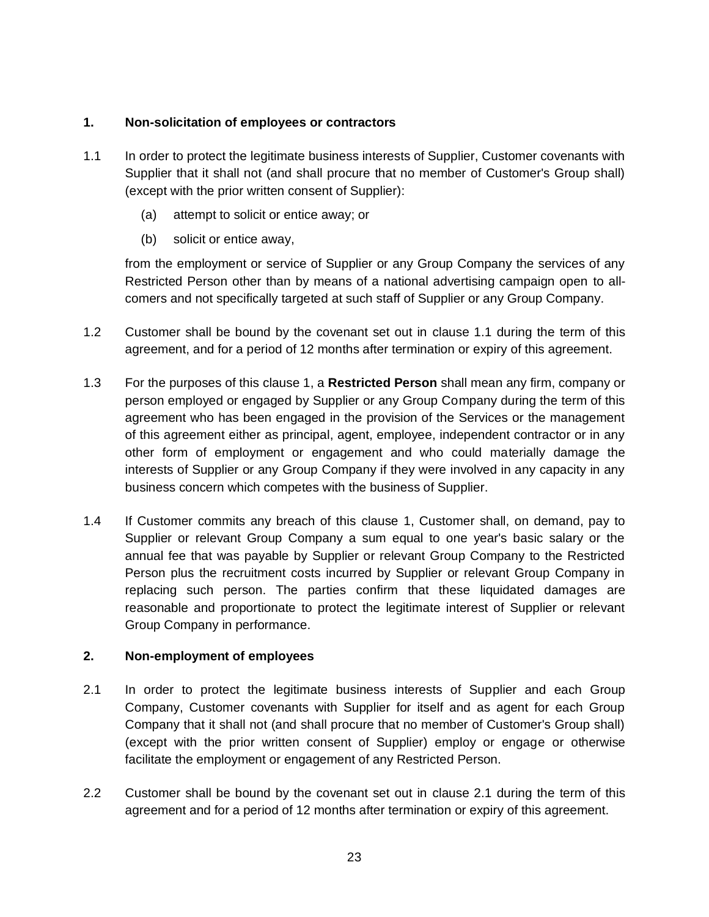#### <span id="page-22-1"></span>**1. Non-solicitation of employees or contractors**

- <span id="page-22-0"></span>1.1 In order to protect the legitimate business interests of Supplier, Customer covenants with Supplier that it shall not (and shall procure that no member of Customer's Group shall) (except with the prior written consent of Supplier):
	- (a) attempt to solicit or entice away; or
	- (b) solicit or entice away,

from the employment or service of Supplier or any Group Company the services of any Restricted Person other than by means of a national advertising campaign open to allcomers and not specifically targeted at such staff of Supplier or any Group Company.

- 1.2 Customer shall be bound by the covenant set out in [clause 1.1](#page-22-0) during the term of this agreement, and for a period of 12 months after termination or expiry of this agreement.
- 1.3 For the purposes of this [clause 1,](#page-22-1) a **Restricted Person** shall mean any firm, company or person employed or engaged by Supplier or any Group Company during the term of this agreement who has been engaged in the provision of the Services or the management of this agreement either as principal, agent, employee, independent contractor or in any other form of employment or engagement and who could materially damage the interests of Supplier or any Group Company if they were involved in any capacity in any business concern which competes with the business of Supplier.
- 1.4 If Customer commits any breach of this [clause 1,](#page-22-1) Customer shall, on demand, pay to Supplier or relevant Group Company a sum equal to one year's basic salary or the annual fee that was payable by Supplier or relevant Group Company to the Restricted Person plus the recruitment costs incurred by Supplier or relevant Group Company in replacing such person. The parties confirm that these liquidated damages are reasonable and proportionate to protect the legitimate interest of Supplier or relevant Group Company in performance.

#### <span id="page-22-3"></span>**2. Non-employment of employees**

- <span id="page-22-2"></span>2.1 In order to protect the legitimate business interests of Supplier and each Group Company, Customer covenants with Supplier for itself and as agent for each Group Company that it shall not (and shall procure that no member of Customer's Group shall) (except with the prior written consent of Supplier) employ or engage or otherwise facilitate the employment or engagement of any Restricted Person.
- 2.2 Customer shall be bound by the covenant set out in [clause 2.1](#page-22-2) during the term of this agreement and for a period of 12 months after termination or expiry of this agreement.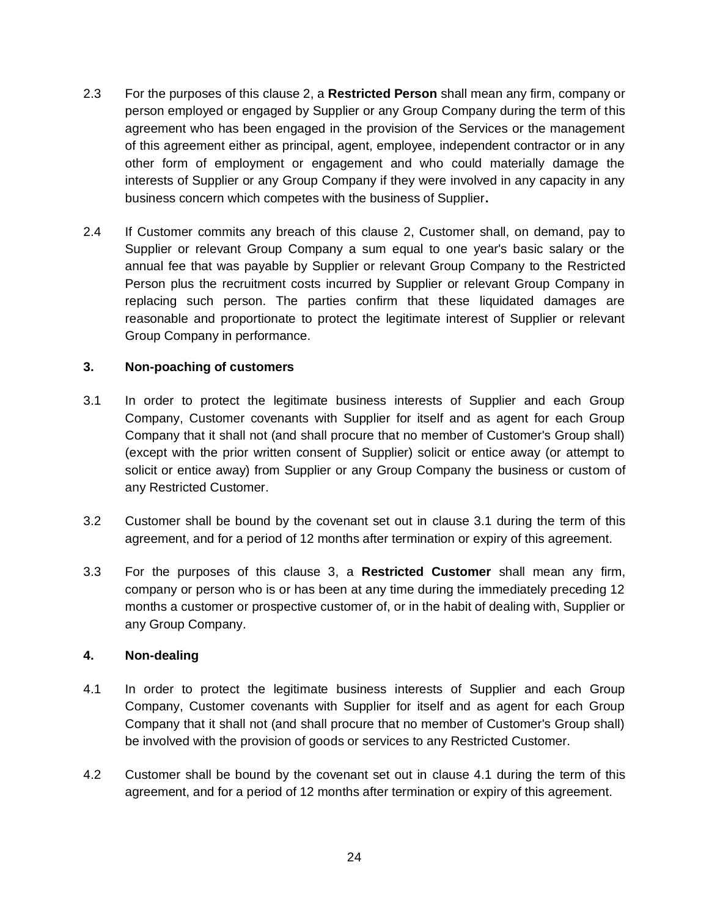- 2.3 For the purposes of this [clause 2,](#page-22-3) a **Restricted Person** shall mean any firm, company or person employed or engaged by Supplier or any Group Company during the term of this agreement who has been engaged in the provision of the Services or the management of this agreement either as principal, agent, employee, independent contractor or in any other form of employment or engagement and who could materially damage the interests of Supplier or any Group Company if they were involved in any capacity in any business concern which competes with the business of Supplier**.**
- 2.4 If Customer commits any breach of this [clause 2,](#page-22-3) Customer shall, on demand, pay to Supplier or relevant Group Company a sum equal to one year's basic salary or the annual fee that was payable by Supplier or relevant Group Company to the Restricted Person plus the recruitment costs incurred by Supplier or relevant Group Company in replacing such person. The parties confirm that these liquidated damages are reasonable and proportionate to protect the legitimate interest of Supplier or relevant Group Company in performance.

#### <span id="page-23-1"></span>**3. Non-poaching of customers**

- <span id="page-23-0"></span>3.1 In order to protect the legitimate business interests of Supplier and each Group Company, Customer covenants with Supplier for itself and as agent for each Group Company that it shall not (and shall procure that no member of Customer's Group shall) (except with the prior written consent of Supplier) solicit or entice away (or attempt to solicit or entice away) from Supplier or any Group Company the business or custom of any Restricted Customer.
- 3.2 Customer shall be bound by the covenant set out in [clause 3.1](#page-23-0) during the term of this agreement, and for a period of 12 months after termination or expiry of this agreement.
- 3.3 For the purposes of this [clause 3,](#page-23-1) a **Restricted Customer** shall mean any firm, company or person who is or has been at any time during the immediately preceding 12 months a customer or prospective customer of, or in the habit of dealing with, Supplier or any Group Company.

#### <span id="page-23-3"></span>**4. Non-dealing**

- <span id="page-23-2"></span>4.1 In order to protect the legitimate business interests of Supplier and each Group Company, Customer covenants with Supplier for itself and as agent for each Group Company that it shall not (and shall procure that no member of Customer's Group shall) be involved with the provision of goods or services to any Restricted Customer.
- 4.2 Customer shall be bound by the covenant set out in [clause 4.1](#page-23-2) during the term of this agreement, and for a period of 12 months after termination or expiry of this agreement.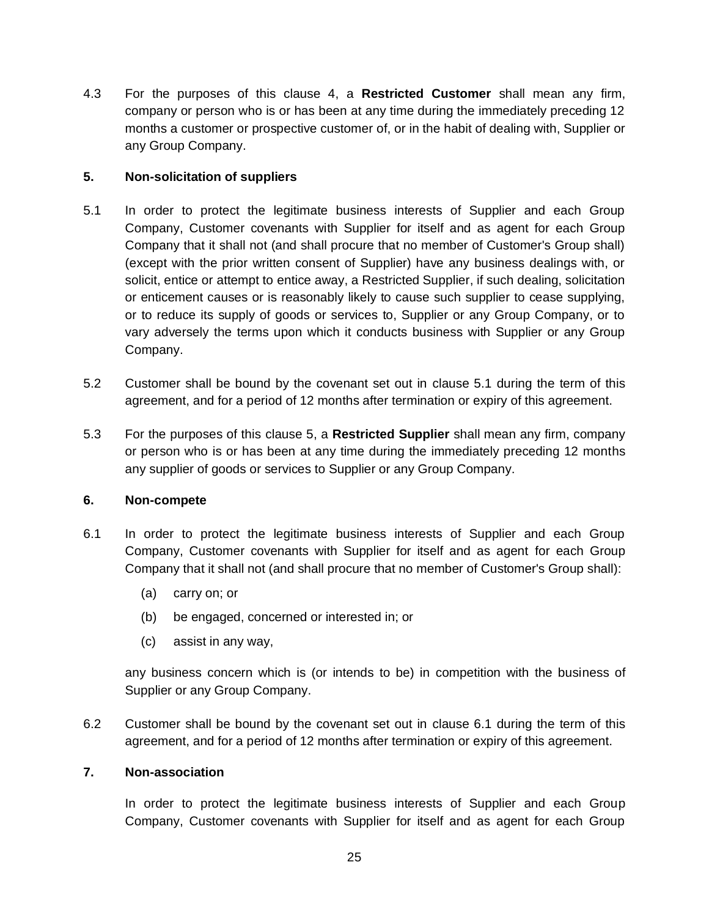4.3 For the purposes of this [clause 4,](#page-23-3) a **Restricted Customer** shall mean any firm, company or person who is or has been at any time during the immediately preceding 12 months a customer or prospective customer of, or in the habit of dealing with, Supplier or any Group Company.

#### <span id="page-24-1"></span>**5. Non-solicitation of suppliers**

- <span id="page-24-0"></span>5.1 In order to protect the legitimate business interests of Supplier and each Group Company, Customer covenants with Supplier for itself and as agent for each Group Company that it shall not (and shall procure that no member of Customer's Group shall) (except with the prior written consent of Supplier) have any business dealings with, or solicit, entice or attempt to entice away, a Restricted Supplier, if such dealing, solicitation or enticement causes or is reasonably likely to cause such supplier to cease supplying, or to reduce its supply of goods or services to, Supplier or any Group Company, or to vary adversely the terms upon which it conducts business with Supplier or any Group Company.
- 5.2 Customer shall be bound by the covenant set out in [clause 5.1](#page-24-0) during the term of this agreement, and for a period of 12 months after termination or expiry of this agreement.
- 5.3 For the purposes of this [clause 5,](#page-24-1) a **Restricted Supplier** shall mean any firm, company or person who is or has been at any time during the immediately preceding 12 months any supplier of goods or services to Supplier or any Group Company.

#### **6. Non-compete**

- <span id="page-24-2"></span>6.1 In order to protect the legitimate business interests of Supplier and each Group Company, Customer covenants with Supplier for itself and as agent for each Group Company that it shall not (and shall procure that no member of Customer's Group shall):
	- (a) carry on; or
	- (b) be engaged, concerned or interested in; or
	- (c) assist in any way,

any business concern which is (or intends to be) in competition with the business of Supplier or any Group Company.

6.2 Customer shall be bound by the covenant set out in [clause 6.1](#page-24-2) during the term of this agreement, and for a period of 12 months after termination or expiry of this agreement.

#### **7. Non-association**

In order to protect the legitimate business interests of Supplier and each Group Company, Customer covenants with Supplier for itself and as agent for each Group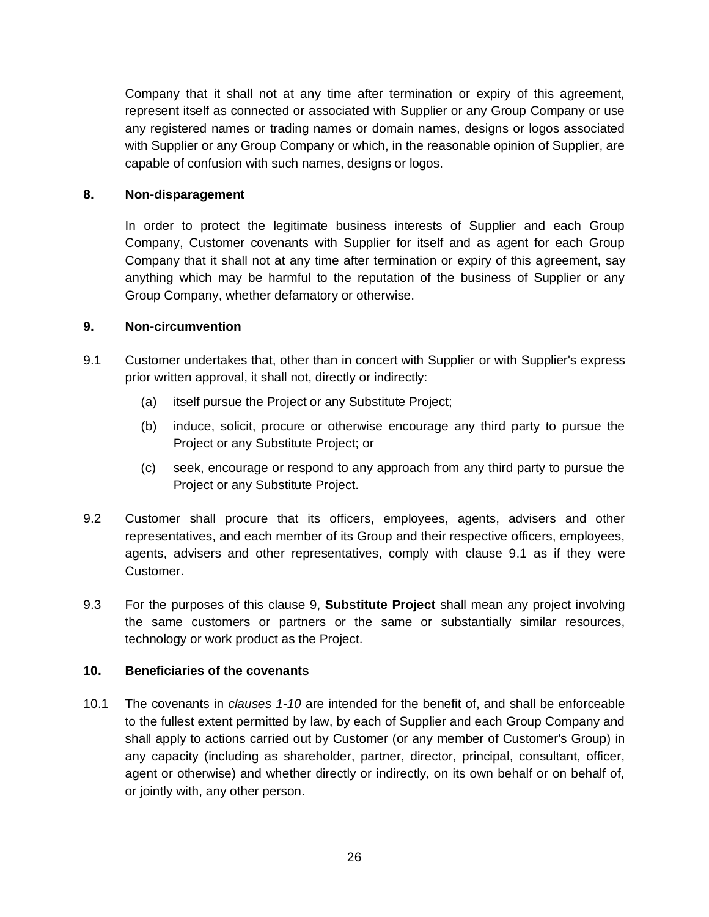Company that it shall not at any time after termination or expiry of this agreement, represent itself as connected or associated with Supplier or any Group Company or use any registered names or trading names or domain names, designs or logos associated with Supplier or any Group Company or which, in the reasonable opinion of Supplier, are capable of confusion with such names, designs or logos.

#### **8. Non-disparagement**

In order to protect the legitimate business interests of Supplier and each Group Company, Customer covenants with Supplier for itself and as agent for each Group Company that it shall not at any time after termination or expiry of this agreement, say anything which may be harmful to the reputation of the business of Supplier or any Group Company, whether defamatory or otherwise.

#### <span id="page-25-1"></span>**9. Non-circumvention**

- <span id="page-25-0"></span>9.1 Customer undertakes that, other than in concert with Supplier or with Supplier's express prior written approval, it shall not, directly or indirectly:
	- (a) itself pursue the Project or any Substitute Project;
	- (b) induce, solicit, procure or otherwise encourage any third party to pursue the Project or any Substitute Project; or
	- (c) seek, encourage or respond to any approach from any third party to pursue the Project or any Substitute Project.
- 9.2 Customer shall procure that its officers, employees, agents, advisers and other representatives, and each member of its Group and their respective officers, employees, agents, advisers and other representatives, comply with [clause 9.1](#page-25-0) as if they were Customer.
- 9.3 For the purposes of this [clause 9,](#page-25-1) **Substitute Project** shall mean any project involving the same customers or partners or the same or substantially similar resources, technology or work product as the Project.

#### **10. Beneficiaries of the covenants**

<span id="page-25-2"></span>10.1 The covenants in *clauses 1-10* are intended for the benefit of, and shall be enforceable to the fullest extent permitted by law, by each of Supplier and each Group Company and shall apply to actions carried out by Customer (or any member of Customer's Group) in any capacity (including as shareholder, partner, director, principal, consultant, officer, agent or otherwise) and whether directly or indirectly, on its own behalf or on behalf of, or jointly with, any other person.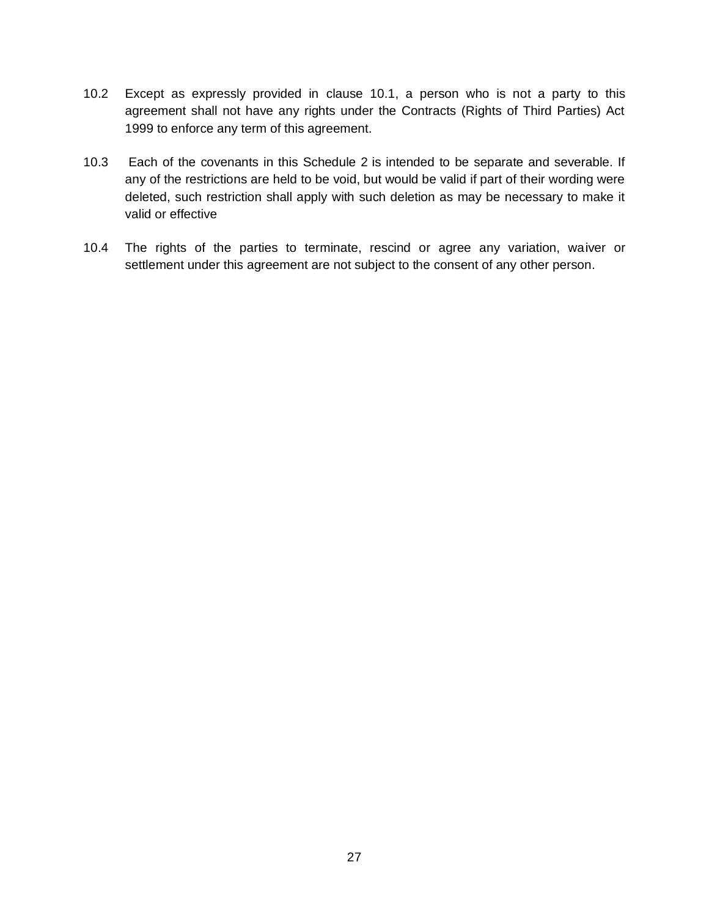- 10.2 Except as expressly provided in [clause 10.1,](#page-25-2) a person who is not a party to this agreement shall not have any rights under the Contracts (Rights of Third Parties) Act 1999 to enforce any term of this agreement.
- 10.3 Each of the covenants in this Schedule 2 is intended to be separate and severable. If any of the restrictions are held to be void, but would be valid if part of their wording were deleted, such restriction shall apply with such deletion as may be necessary to make it valid or effective
- 10.4 The rights of the parties to terminate, rescind or agree any variation, waiver or settlement under this agreement are not subject to the consent of any other person.